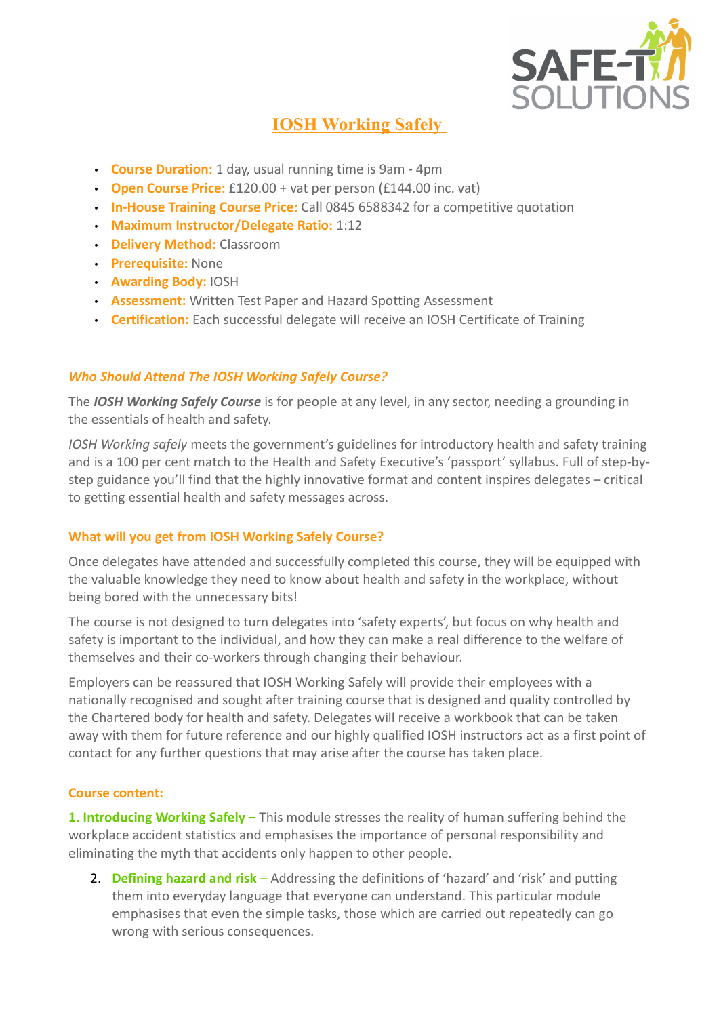

# IOSH Working Safely

- Course Duration: 1 day, usual running time is 9am 4pm
- Open Course Price:  $£120.00 + \text{vat per person (£144.00 inc. vat)}$
- In-House Training Course Price: Call 0845 6588342 for a competitive quotation
- Maximum Instructor/Delegate Ratio: 1:12
- Delivery Method: Classroom
- Prerequisite: None
- Awarding Body: IOSH
- Assessment: Written Test Paper and Hazard Spotting Assessment
- Certification: Each successful delegate will receive an IOSH Certificate of Training

## Who Should Attend The IOSH Working Safely Course?

The *IOSH Working Safely Course* is for people at any level, in any sector, needing a grounding in the essentials of health and safety.

IOSH Working safely meets the government's guidelines for introductory health and safety training and is a 100 per cent match to the Health and Safety Executive's 'passport' syllabus. Full of step-bystep guidance you'll find that the highly innovative format and content inspires delegates – critical to getting essential health and safety messages across.

## What will you get from IOSH Working Safely Course?

Once delegates have attended and successfully completed this course, they will be equipped with the valuable knowledge they need to know about health and safety in the workplace, without being bored with the unnecessary bits!

The course is not designed to turn delegates into 'safety experts', but focus on why health and safety is important to the individual, and how they can make a real difference to the welfare of themselves and their co-workers through changing their behaviour.

Employers can be reassured that IOSH Working Safely will provide their employees with a nationally recognised and sought after training course that is designed and quality controlled by the Chartered body for health and safety. Delegates will receive a workbook that can be taken away with them for future reference and our highly qualified IOSH instructors act as a first point of contact for any further questions that may arise after the course has taken place.

### Course content:

1. Introducing Working Safely - This module stresses the reality of human suffering behind the workplace accident statistics and emphasises the importance of personal responsibility and eliminating the myth that accidents only happen to other people.

2. Defining hazard and risk – Addressing the definitions of 'hazard' and 'risk' and putting them into everyday language that everyone can understand. This particular module emphasises that even the simple tasks, those which are carried out repeatedly can go wrong with serious consequences.